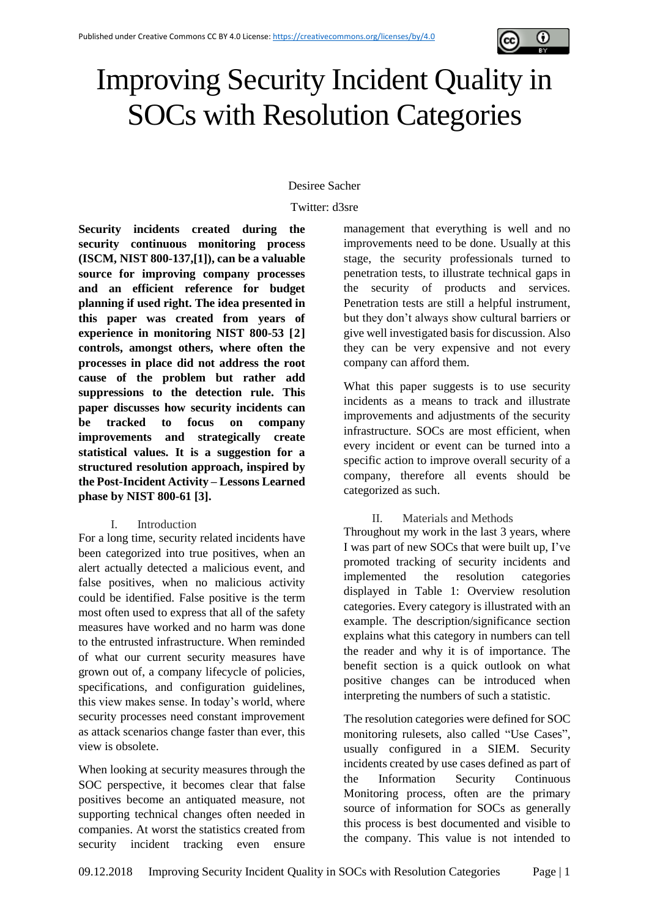

# Improving Security Incident Quality in SOCs with Resolution Categories

# Desiree Sacher

Twitter: d3sre

**Security incidents created during the security continuous monitoring process (ISCM, NIST 800-137,[1]), can be a valuable source for improving company processes and an efficient reference for budget planning if used right. The idea presented in this paper was created from years of experience in monitoring NIST 800-53 [2] controls, amongst others, where often the processes in place did not address the root cause of the problem but rather add suppressions to the detection rule. This paper discusses how security incidents can be tracked to focus on company improvements and strategically create statistical values. It is a suggestion for a structured resolution approach, inspired by the Post-Incident Activity – Lessons Learned phase by NIST 800-61 [3].**

# I. Introduction

For a long time, security related incidents have been categorized into true positives, when an alert actually detected a malicious event, and false positives, when no malicious activity could be identified. False positive is the term most often used to express that all of the safety measures have worked and no harm was done to the entrusted infrastructure. When reminded of what our current security measures have grown out of, a company lifecycle of policies, specifications, and configuration guidelines, this view makes sense. In today's world, where security processes need constant improvement as attack scenarios change faster than ever, this view is obsolete.

When looking at security measures through the SOC perspective, it becomes clear that false positives become an antiquated measure, not supporting technical changes often needed in companies. At worst the statistics created from security incident tracking even ensure

management that everything is well and no improvements need to be done. Usually at this stage, the security professionals turned to penetration tests, to illustrate technical gaps in the security of products and services. Penetration tests are still a helpful instrument, but they don't always show cultural barriers or give well investigated basis for discussion. Also they can be very expensive and not every company can afford them.

What this paper suggests is to use security incidents as a means to track and illustrate improvements and adjustments of the security infrastructure. SOCs are most efficient, when every incident or event can be turned into a specific action to improve overall security of a company, therefore all events should be categorized as such.

# II. Materials and Methods

Throughout my work in the last 3 years, where I was part of new SOCs that were built up, I've promoted tracking of security incidents and implemented the resolution categories displayed in [Table 1: Overview resolution](#page-1-0)  [categories.](#page-1-0) Every category is illustrated with an example. The description/significance section explains what this category in numbers can tell the reader and why it is of importance. The benefit section is a quick outlook on what positive changes can be introduced when interpreting the numbers of such a statistic.

The resolution categories were defined for SOC monitoring rulesets, also called "Use Cases", usually configured in a SIEM. Security incidents created by use cases defined as part of the Information Security Continuous Monitoring process, often are the primary source of information for SOCs as generally this process is best documented and visible to the company. This value is not intended to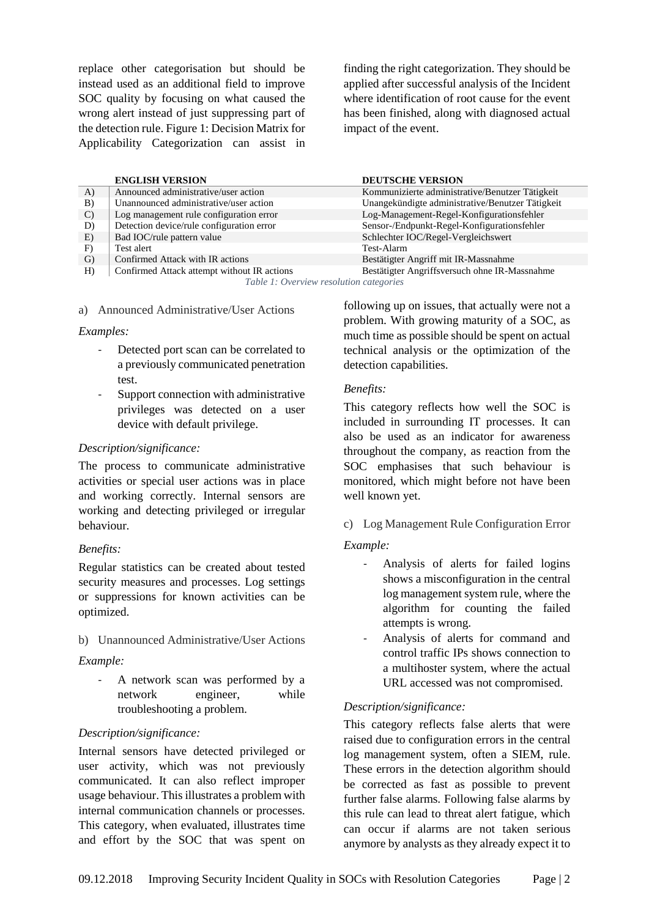replace other categorisation but should be instead used as an additional field to improve SOC quality by focusing on what caused the wrong alert instead of just suppressing part of the detection rule[. Figure 1: Decision Matrix for](#page-3-0)  [Applicability Categorization](#page-3-0) can assist in finding the right categorization. They should be applied after successful analysis of the Incident where identification of root cause for the event has been finished, along with diagnosed actual impact of the event.

|                                           | <b>ENGLISH VERSION</b>                      | <b>DEUTSCHE VERSION</b>                          |  |  |  |
|-------------------------------------------|---------------------------------------------|--------------------------------------------------|--|--|--|
| A)                                        | Announced administrative/user action        | Kommunizierte administrative/Benutzer Tätigkeit  |  |  |  |
| B)                                        | Unannounced administrative/user action      | Unangekündigte administrative/Benutzer Tätigkeit |  |  |  |
| $\mathcal{C}$                             | Log management rule configuration error     | Log-Management-Regel-Konfigurationsfehler        |  |  |  |
| D)                                        | Detection device/rule configuration error   | Sensor-/Endpunkt-Regel-Konfigurationsfehler      |  |  |  |
| E)                                        | Bad IOC/rule pattern value                  | Schlechter IOC/Regel-Vergleichswert              |  |  |  |
| F)                                        | Test alert                                  | Test-Alarm                                       |  |  |  |
| G)                                        | Confirmed Attack with IR actions            | Bestätigter Angriff mit IR-Massnahme             |  |  |  |
| H)                                        | Confirmed Attack attempt without IR actions | Bestätigter Angriffsversuch ohne IR-Massnahme    |  |  |  |
| Table 1. Our minu needs then actor and ra |                                             |                                                  |  |  |  |

*Table 1: Overview resolution categories*

<span id="page-1-0"></span>a) Announced Administrative/User Actions

#### *Examples:*

- Detected port scan can be correlated to a previously communicated penetration test.
- Support connection with administrative privileges was detected on a user device with default privilege.

# *Description/significance:*

The process to communicate administrative activities or special user actions was in place and working correctly. Internal sensors are working and detecting privileged or irregular behaviour.

# *Benefits:*

Regular statistics can be created about tested security measures and processes. Log settings or suppressions for known activities can be optimized.

b) Unannounced Administrative/User Actions

# *Example:*

- A network scan was performed by a network engineer, while troubleshooting a problem.

# *Description/significance:*

Internal sensors have detected privileged or user activity, which was not previously communicated. It can also reflect improper usage behaviour. This illustrates a problem with internal communication channels or processes. This category, when evaluated, illustrates time and effort by the SOC that was spent on following up on issues, that actually were not a problem. With growing maturity of a SOC, as much time as possible should be spent on actual technical analysis or the optimization of the detection capabilities.

# *Benefits:*

This category reflects how well the SOC is included in surrounding IT processes. It can also be used as an indicator for awareness throughout the company, as reaction from the SOC emphasises that such behaviour is monitored, which might before not have been well known yet.

# c) Log Management Rule Configuration Error

# *Example:*

- Analysis of alerts for failed logins shows a misconfiguration in the central log management system rule, where the algorithm for counting the failed attempts is wrong.
- Analysis of alerts for command and control traffic IPs shows connection to a multihoster system, where the actual URL accessed was not compromised.

# *Description/significance:*

This category reflects false alerts that were raised due to configuration errors in the central log management system, often a SIEM, rule. These errors in the detection algorithm should be corrected as fast as possible to prevent further false alarms. Following false alarms by this rule can lead to threat alert fatigue, which can occur if alarms are not taken serious anymore by analysts as they already expect it to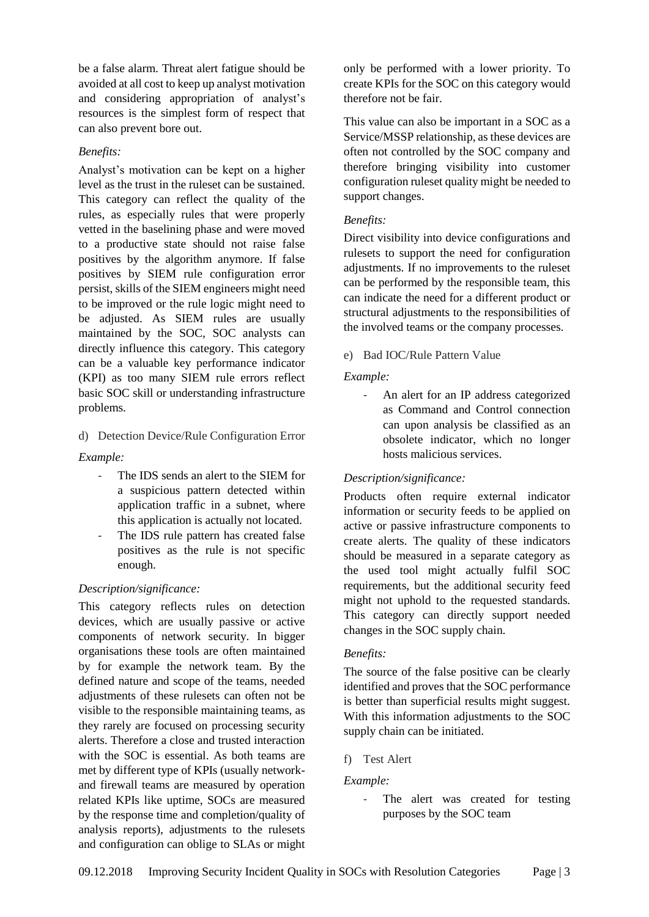be a false alarm. Threat alert fatigue should be avoided at all cost to keep up analyst motivation and considering appropriation of analyst's resources is the simplest form of respect that can also prevent bore out.

# *Benefits:*

Analyst's motivation can be kept on a higher level as the trust in the ruleset can be sustained. This category can reflect the quality of the rules, as especially rules that were properly vetted in the baselining phase and were moved to a productive state should not raise false positives by the algorithm anymore. If false positives by SIEM rule configuration error persist, skills of the SIEM engineers might need to be improved or the rule logic might need to be adjusted. As SIEM rules are usually maintained by the SOC, SOC analysts can directly influence this category. This category can be a valuable key performance indicator (KPI) as too many SIEM rule errors reflect basic SOC skill or understanding infrastructure problems.

# d) Detection Device/Rule Configuration Error

*Example:*

- The IDS sends an alert to the SIEM for a suspicious pattern detected within application traffic in a subnet, where this application is actually not located.
- The IDS rule pattern has created false positives as the rule is not specific enough.

# *Description/significance:*

This category reflects rules on detection devices, which are usually passive or active components of network security. In bigger organisations these tools are often maintained by for example the network team. By the defined nature and scope of the teams, needed adjustments of these rulesets can often not be visible to the responsible maintaining teams, as they rarely are focused on processing security alerts. Therefore a close and trusted interaction with the SOC is essential. As both teams are met by different type of KPIs (usually networkand firewall teams are measured by operation related KPIs like uptime, SOCs are measured by the response time and completion/quality of analysis reports), adjustments to the rulesets and configuration can oblige to SLAs or might only be performed with a lower priority. To create KPIs for the SOC on this category would therefore not be fair.

This value can also be important in a SOC as a Service/MSSP relationship, as these devices are often not controlled by the SOC company and therefore bringing visibility into customer configuration ruleset quality might be needed to support changes.

# *Benefits:*

Direct visibility into device configurations and rulesets to support the need for configuration adjustments. If no improvements to the ruleset can be performed by the responsible team, this can indicate the need for a different product or structural adjustments to the responsibilities of the involved teams or the company processes.

# e) Bad IOC/Rule Pattern Value

# *Example:*

- An alert for an IP address categorized as Command and Control connection can upon analysis be classified as an obsolete indicator, which no longer hosts malicious services.

# *Description/significance:*

Products often require external indicator information or security feeds to be applied on active or passive infrastructure components to create alerts. The quality of these indicators should be measured in a separate category as the used tool might actually fulfil SOC requirements, but the additional security feed might not uphold to the requested standards. This category can directly support needed changes in the SOC supply chain.

# *Benefits:*

The source of the false positive can be clearly identified and proves that the SOC performance is better than superficial results might suggest. With this information adjustments to the SOC supply chain can be initiated.

# f) Test Alert

*Example:*

- The alert was created for testing purposes by the SOC team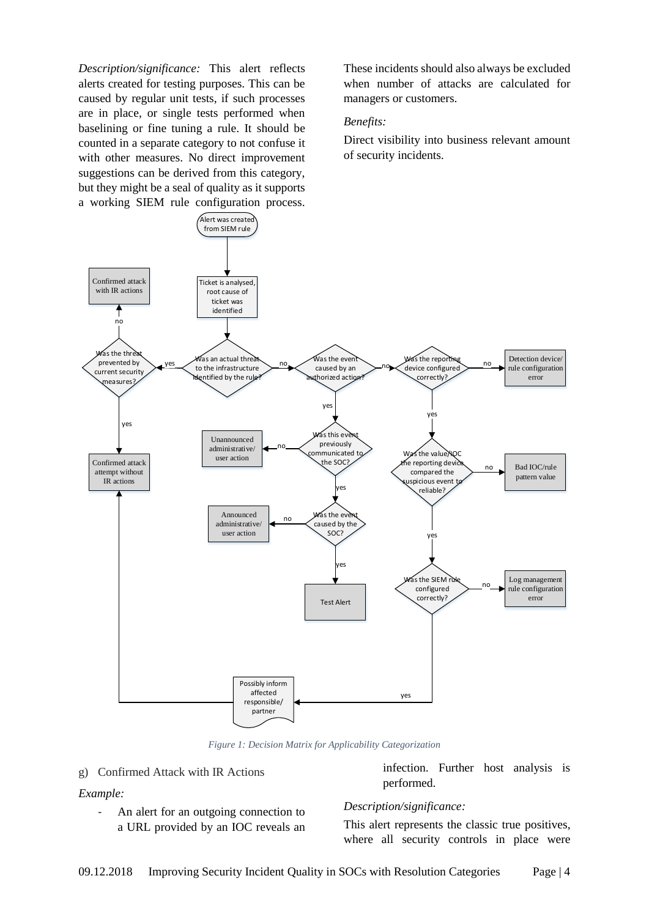*Description/significance:* This alert reflects alerts created for testing purposes. This can be caused by regular unit tests, if such processes are in place, or single tests performed when baselining or fine tuning a rule. It should be counted in a separate category to not confuse it with other measures. No direct improvement suggestions can be derived from this category, but they might be a seal of quality as it supports a working SIEM rule configuration process.

These incidents should also always be excluded when number of attacks are calculated for managers or customers.

#### *Benefits:*

Direct visibility into business relevant amount of security incidents.



*Figure 1: Decision Matrix for Applicability Categorization*

#### <span id="page-3-0"></span>g) Confirmed Attack with IR Actions

#### *Example:*

An alert for an outgoing connection to a URL provided by an IOC reveals an infection. Further host analysis is performed.

#### *Description/significance:*

This alert represents the classic true positives, where all security controls in place were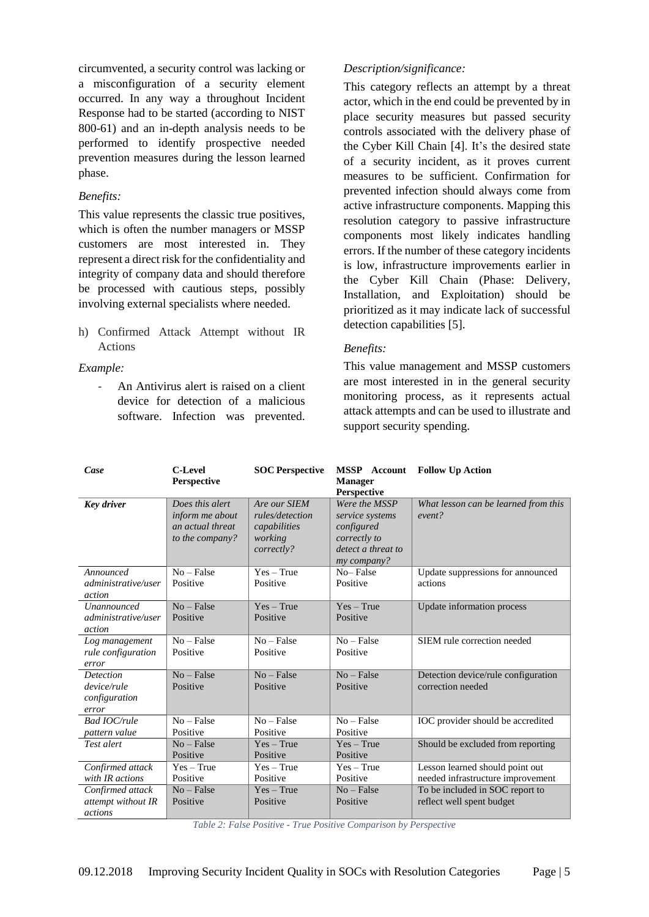circumvented, a security control was lacking or a misconfiguration of a security element occurred. In any way a throughout Incident Response had to be started (according to NIST 800-61) and an in-depth analysis needs to be performed to identify prospective needed prevention measures during the lesson learned phase.

# *Benefits:*

This value represents the classic true positives, which is often the number managers or MSSP customers are most interested in. They represent a direct risk for the confidentiality and integrity of company data and should therefore be processed with cautious steps, possibly involving external specialists where needed.

h) Confirmed Attack Attempt without IR Actions

# *Example:*

- An Antivirus alert is raised on a client device for detection of a malicious software. Infection was prevented.

# *Description/significance:*

This category reflects an attempt by a threat actor, which in the end could be prevented by in place security measures but passed security controls associated with the delivery phase of the Cyber Kill Chain [4]. It's the desired state of a security incident, as it proves current measures to be sufficient. Confirmation for prevented infection should always come from active infrastructure components. Mapping this resolution category to passive infrastructure components most likely indicates handling errors. If the number of these category incidents is low, infrastructure improvements earlier in the Cyber Kill Chain (Phase: Delivery, Installation, and Exploitation) should be prioritized as it may indicate lack of successful detection capabilities [5].

# *Benefits:*

This value management and MSSP customers are most interested in in the general security monitoring process, as it represents actual attack attempts and can be used to illustrate and support security spending.

| Case                                                      | <b>C-Level</b><br><b>Perspective</b>                                      | <b>SOC Perspective</b>                                                   | <b>MSSP</b> Account<br><b>Manager</b><br>Perspective                                                | <b>Follow Up Action</b>                                              |
|-----------------------------------------------------------|---------------------------------------------------------------------------|--------------------------------------------------------------------------|-----------------------------------------------------------------------------------------------------|----------------------------------------------------------------------|
| <b>Key driver</b>                                         | Does this alert<br>inform me about<br>an actual threat<br>to the company? | Are our SIEM<br>rules/detection<br>capabilities<br>working<br>correctly? | Were the MSSP<br>service systems<br>configured<br>correctly to<br>detect a threat to<br>my company? | What lesson can be learned from this<br>event?                       |
| Announced<br>administrative/user<br>action                | $No - False$<br>Positive                                                  | $Yes - True$<br>Positive                                                 | No-False<br>Positive                                                                                | Update suppressions for announced<br>actions                         |
| <b>Unannounced</b><br>administrative/user<br>action       | $No - False$<br>Positive                                                  | $Yes - True$<br>Positive                                                 | $Yes - True$<br>Positive                                                                            | Update information process                                           |
| Log management<br>rule configuration<br>error             | $No - False$<br>Positive                                                  | $No - False$<br>Positive                                                 | $No - False$<br>Positive                                                                            | SIEM rule correction needed                                          |
| <b>Detection</b><br>device/rule<br>configuration<br>error | $No - False$<br>Positive                                                  | $No - False$<br>Positive                                                 | $No - False$<br>Positive                                                                            | Detection device/rule configuration<br>correction needed             |
| Bad IOC/rule<br>pattern value                             | $No - False$<br>Positive                                                  | $No - False$<br>Positive                                                 | $No - False$<br>Positive                                                                            | IOC provider should be accredited                                    |
| Test alert                                                | $No - False$<br>Positive                                                  | $Yes - True$<br>Positive                                                 | $Yes - True$<br>Positive                                                                            | Should be excluded from reporting                                    |
| Confirmed attack<br>with IR actions                       | $Yes - True$<br>Positive                                                  | $Yes - True$<br>Positive                                                 | $Yes - True$<br>Positive                                                                            | Lesson learned should point out<br>needed infrastructure improvement |
| Confirmed attack<br>attempt without IR<br>actions         | $No - False$<br>Positive                                                  | $Yes - True$<br>Positive                                                 | $No - False$<br>Positive                                                                            | To be included in SOC report to<br>reflect well spent budget         |

<span id="page-4-0"></span>*Table 2: False Positive - True Positive Comparison by Perspective*